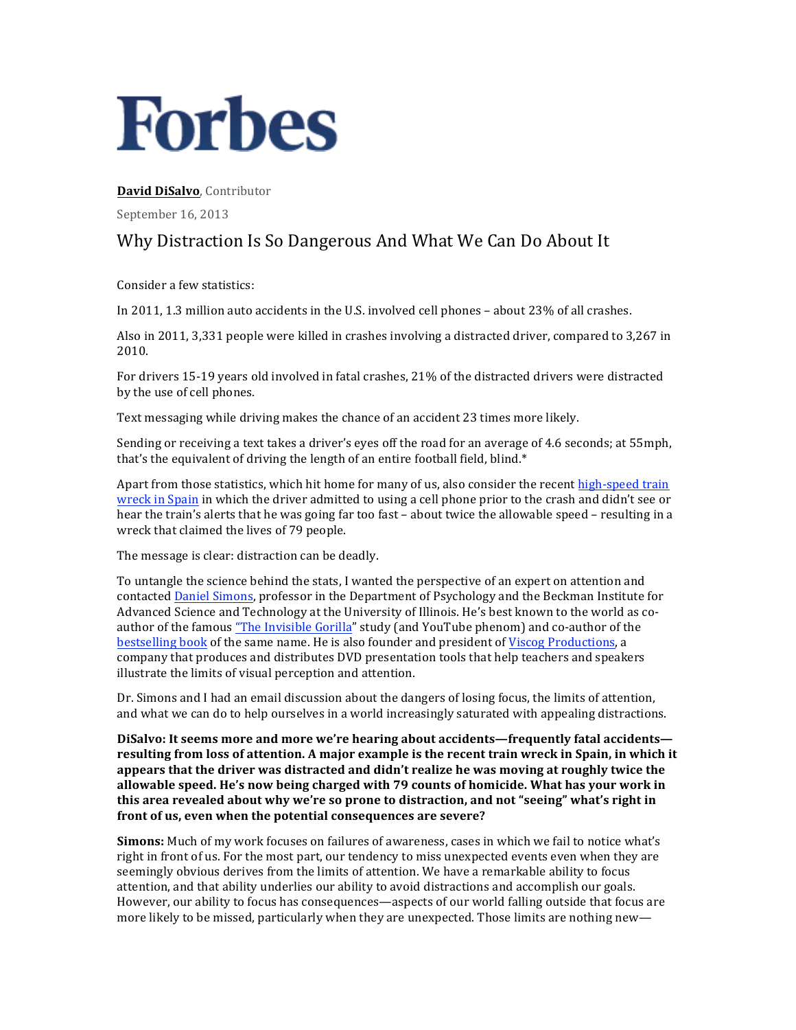# **Forbes**

David DiSalvo, Contributor

September 16, 2013

## Why Distraction Is So Dangerous And What We Can Do About It

Consider a few statistics:

In 2011, 1.3 million auto accidents in the U.S. involved cell phones - about 23% of all crashes.

Also in 2011, 3,331 people were killed in crashes involving a distracted driver, compared to 3,267 in 2010.

For drivers 15-19 years old involved in fatal crashes, 21% of the distracted drivers were distracted by the use of cell phones.

Text messaging while driving makes the chance of an accident 23 times more likely.

Sending or receiving a text takes a driver's eyes off the road for an average of 4.6 seconds; at 55mph, that's the equivalent of driving the length of an entire football field, blind.\*

Apart from those statistics, which hit home for many of us, also consider the recent high-speed train wreck in Spain in which the driver admitted to using a cell phone prior to the crash and didn't see or hear the train's alerts that he was going far too fast – about twice the allowable speed – resulting in a wreck that claimed the lives of 79 people.

The message is clear: distraction can be deadly.

To untangle the science behind the stats, I wanted the perspective of an expert on attention and contacted Daniel Simons, professor in the Department of Psychology and the Beckman Institute for Advanced Science and Technology at the University of Illinois. He's best known to the world as coauthor of the famous "The Invisible Gorilla" study (and YouTube phenom) and co-author of the bestselling book of the same name. He is also founder and president of Viscog Productions, a company that produces and distributes DVD presentation tools that help teachers and speakers illustrate the limits of visual perception and attention.

Dr. Simons and I had an email discussion about the dangers of losing focus, the limits of attention, and what we can do to help ourselves in a world increasingly saturated with appealing distractions.

DiSalvo: It seems more and more we're hearing about accidents—frequently fatal accidentsresulting from loss of attention. A major example is the recent train wreck in Spain, in which it appears that the driver was distracted and didn't realize he was moving at roughly twice the allowable speed. He's now being charged with 79 counts of homicide. What has your work in this area revealed about why we're so prone to distraction, and not "seeing" what's right in front of us, even when the potential consequences are severe?

**Simons:** Much of my work focuses on failures of awareness, cases in which we fail to notice what's right in front of us. For the most part, our tendency to miss unexpected events even when they are seemingly obvious derives from the limits of attention. We have a remarkable ability to focus attention, and that ability underlies our ability to avoid distractions and accomplish our goals. However, our ability to focus has consequences—aspects of our world falling outside that focus are more likely to be missed, particularly when they are unexpected. Those limits are nothing new—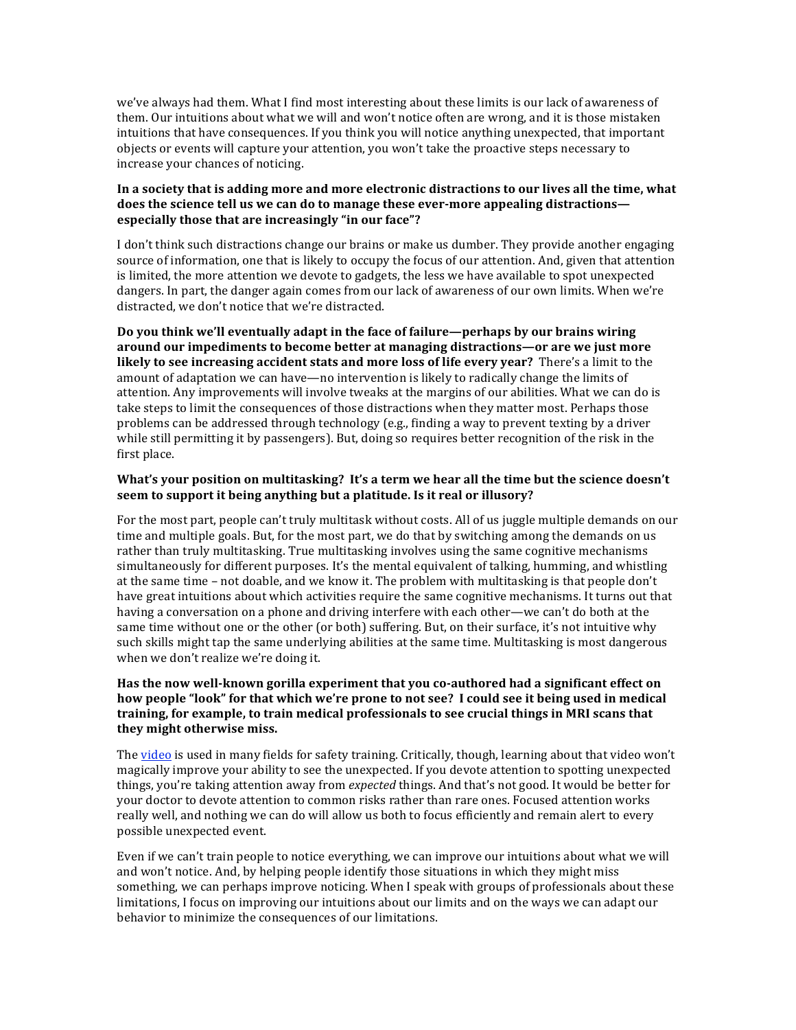we've always had them. What I find most interesting about these limits is our lack of awareness of them. Our intuitions about what we will and won't notice often are wrong, and it is those mistaken intuitions that have consequences. If you think you will notice anything unexpected, that important objects or events will capture your attention, you won't take the proactive steps necessary to increase your chances of noticing.

#### In a society that is adding more and more electronic distractions to our lives all the time, what does the science tell us we can do to manage these ever-more appealing distractions**especially those that are increasingly "in our face"?**

I don't think such distractions change our brains or make us dumber. They provide another engaging source of information, one that is likely to occupy the focus of our attention. And, given that attention is limited, the more attention we devote to gadgets, the less we have available to spot unexpected dangers. In part, the danger again comes from our lack of awareness of our own limits. When we're distracted, we don't notice that we're distracted.

Do you think we'll eventually adapt in the face of failure—perhaps by our brains wiring around our impediments to become better at managing distractions—or are we just more **likely** to see increasing accident stats and more loss of life every year? There's a limit to the amount of adaptation we can have—no intervention is likely to radically change the limits of attention. Any improvements will involve tweaks at the margins of our abilities. What we can do is take steps to limit the consequences of those distractions when they matter most. Perhaps those problems can be addressed through technology (e.g., finding a way to prevent texting by a driver while still permitting it by passengers). But, doing so requires better recognition of the risk in the first place.

#### What's your position on multitasking? It's a term we hear all the time but the science doesn't **seem to support it being anything but a platitude. Is it real or illusory?**

For the most part, people can't truly multitask without costs. All of us juggle multiple demands on our time and multiple goals. But, for the most part, we do that by switching among the demands on us rather than truly multitasking. True multitasking involves using the same cognitive mechanisms simultaneously for different purposes. It's the mental equivalent of talking, humming, and whistling at the same time – not doable, and we know it. The problem with multitasking is that people don't have great intuitions about which activities require the same cognitive mechanisms. It turns out that having a conversation on a phone and driving interfere with each other—we can't do both at the same time without one or the other (or both) suffering. But, on their surface, it's not intuitive why such skills might tap the same underlying abilities at the same time. Multitasking is most dangerous when we don't realize we're doing it.

### Has the now well-known gorilla experiment that you co-authored had a significant effect on how people "look" for that which we're prone to not see? I could see it being used in medical training, for example, to train medical professionals to see crucial things in MRI scans that **they might otherwise miss.**

The video is used in many fields for safety training. Critically, though, learning about that video won't magically improve your ability to see the unexpected. If you devote attention to spotting unexpected things, you're taking attention away from *expected* things. And that's not good. It would be better for your doctor to devote attention to common risks rather than rare ones. Focused attention works really well, and nothing we can do will allow us both to focus efficiently and remain alert to every possible unexpected event.

Even if we can't train people to notice everything, we can improve our intuitions about what we will and won't notice. And, by helping people identify those situations in which they might miss something, we can perhaps improve noticing. When I speak with groups of professionals about these limitations, I focus on improving our intuitions about our limits and on the ways we can adapt our behavior to minimize the consequences of our limitations.